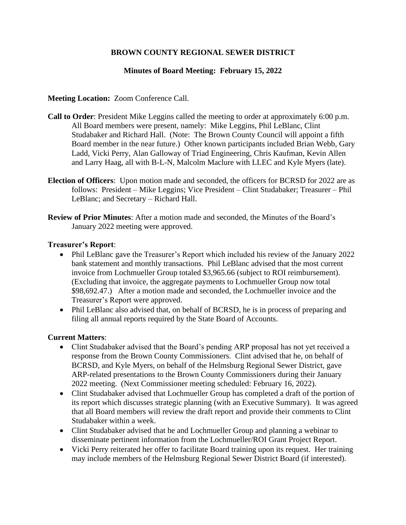# **BROWN COUNTY REGIONAL SEWER DISTRICT**

# **Minutes of Board Meeting: February 15, 2022**

### **Meeting Location:** Zoom Conference Call.

- **Call to Order**: President Mike Leggins called the meeting to order at approximately 6:00 p.m. All Board members were present, namely: Mike Leggins, Phil LeBlanc, Clint Studabaker and Richard Hall. (Note: The Brown County Council will appoint a fifth Board member in the near future.) Other known participants included Brian Webb, Gary Ladd, Vicki Perry, Alan Galloway of Triad Engineering, Chris Kaufman, Kevin Allen and Larry Haag, all with B-L-N, Malcolm Maclure with LLEC and Kyle Myers (late).
- **Election of Officers**: Upon motion made and seconded, the officers for BCRSD for 2022 are as follows: President – Mike Leggins; Vice President – Clint Studabaker; Treasurer – Phil LeBlanc; and Secretary – Richard Hall.
- **Review of Prior Minutes**: After a motion made and seconded, the Minutes of the Board's January 2022 meeting were approved.

#### **Treasurer's Report**:

- Phil LeBlanc gave the Treasurer's Report which included his review of the January 2022 bank statement and monthly transactions. Phil LeBlanc advised that the most current invoice from Lochmueller Group totaled \$3,965.66 (subject to ROI reimbursement). (Excluding that invoice, the aggregate payments to Lochmueller Group now total \$98,692.47.) After a motion made and seconded, the Lochmueller invoice and the Treasurer's Report were approved.
- Phil LeBlanc also advised that, on behalf of BCRSD, he is in process of preparing and filing all annual reports required by the State Board of Accounts.

### **Current Matters**:

- Clint Studabaker advised that the Board's pending ARP proposal has not yet received a response from the Brown County Commissioners. Clint advised that he, on behalf of BCRSD, and Kyle Myers, on behalf of the Helmsburg Regional Sewer District, gave ARP-related presentations to the Brown County Commissioners during their January 2022 meeting. (Next Commissioner meeting scheduled: February 16, 2022).
- Clint Studabaker advised that Lochmueller Group has completed a draft of the portion of its report which discusses strategic planning (with an Executive Summary). It was agreed that all Board members will review the draft report and provide their comments to Clint Studabaker within a week.
- Clint Studabaker advised that he and Lochmueller Group and planning a webinar to disseminate pertinent information from the Lochmueller/ROI Grant Project Report.
- Vicki Perry reiterated her offer to facilitate Board training upon its request. Her training may include members of the Helmsburg Regional Sewer District Board (if interested).